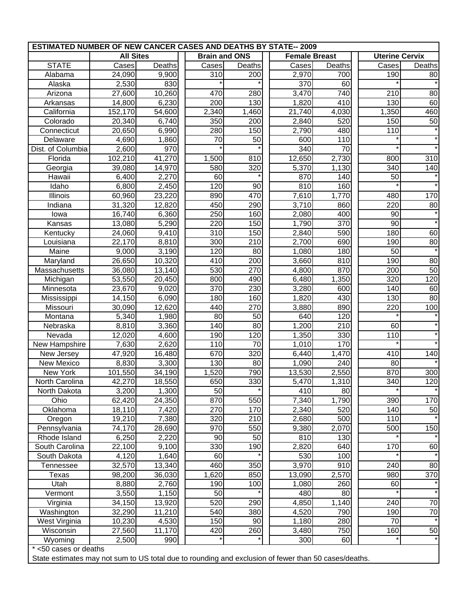| <b>ESTIMATED NUMBER OF NEW CANCER CASES AND DEATHS BY STATE-- 2009</b>                               |                  |                    |       |                      |  |                    |                      |                       |                 |  |
|------------------------------------------------------------------------------------------------------|------------------|--------------------|-------|----------------------|--|--------------------|----------------------|-----------------------|-----------------|--|
|                                                                                                      | <b>All Sites</b> |                    |       | <b>Brain and ONS</b> |  |                    | <b>Female Breast</b> | <b>Uterine Cervix</b> |                 |  |
| <b>STATE</b>                                                                                         | Cases            | Deaths             | Cases | Deaths               |  | Cases              | Deaths               | Cases                 | Deaths          |  |
| Alabama                                                                                              | 24,090           | 9,900              | 310   | 200                  |  | 2,970              | 700                  | 190                   | 80              |  |
| Alaska                                                                                               | 2,530            | 830                |       |                      |  | 370                | 60                   |                       |                 |  |
| Arizona                                                                                              | 27,600           | 10,260             | 470   | 280                  |  | 3,470              | 740                  | 210                   | 80              |  |
| Arkansas                                                                                             | 14,800           | 6,230              | 200   | 130                  |  | 1,820              | 410                  | 130                   | 60              |  |
| California                                                                                           | 152,170          | 54,600             | 2,340 | 1,460                |  | 21,740             | 4,030                | 1,350                 | 460             |  |
| Colorado                                                                                             | 20,340           | 6,740              | 350   | 200                  |  | 2,840              | 520                  | 150                   | 50              |  |
| Connecticut                                                                                          | 20,650           | 6,990              | 280   | 150                  |  | 2,790              | 480                  | 110                   |                 |  |
| Delaware                                                                                             | 4,690            | 1,860              | 70    | 50                   |  | 600                | 110                  |                       |                 |  |
| Dist. of Columbia                                                                                    | 2,600            | 970                |       |                      |  | 340                | 70                   |                       |                 |  |
| Florida                                                                                              | 102,210          | 41,270             | 1,500 | 810                  |  | 12,650             | 2,730                | 800                   | 310             |  |
| Georgia                                                                                              | 39,080           | 14,970             | 580   | 320                  |  | 5,370              | 1,130                | 340                   | 140             |  |
| Hawaii                                                                                               | 6,400            | 2,270              | 60    |                      |  | 870                | 140                  | 50                    |                 |  |
| Idaho                                                                                                | 6,800            | 2,450              | 120   | $\overline{90}$      |  | 810                | 160                  |                       |                 |  |
| <b>Illinois</b>                                                                                      | 60,960           | 23,220             | 890   | 470                  |  | 7,610              | 1,770                | 480                   | 170             |  |
| Indiana                                                                                              | 31,320           | 12,820             | 450   | 290                  |  | 3,710              | 860                  | 220                   | 80              |  |
| lowa                                                                                                 | 16,740           | 6,360              | 250   | 160                  |  | 2,080              | 400                  | 90                    |                 |  |
| Kansas                                                                                               | 13,080           | 5,290              | 220   | 150                  |  | 1,790              | 370                  | $\overline{90}$       |                 |  |
| Kentucky                                                                                             | 24,060           | 9,410              | 310   | 150                  |  | 2,840              | 590                  | 180                   | 60              |  |
| Louisiana                                                                                            | 22,170           | 8,810              | 300   | 210                  |  | 2,700              | 690                  | 190                   | 80              |  |
| Maine                                                                                                | 9,000            | 3,190              | 120   | 80                   |  | 1,080              | 180                  | 50                    |                 |  |
| Maryland                                                                                             | 26,650           | 10,320             | 410   | 200                  |  | 3,660              | 810                  | 190                   | $\overline{80}$ |  |
| Massachusetts                                                                                        | 36,080           | 13,140             | 530   | 270                  |  | 4,800              | 870                  | 200                   | $\overline{50}$ |  |
| Michigan                                                                                             | 53,550           | 20,450             | 800   | 490                  |  | 6,480              | 1,350                | 320                   | 120             |  |
| Minnesota                                                                                            | 23,670           | 9,020              | 370   | 230                  |  | 3,280              | 600                  | 140                   | 60              |  |
| Mississippi                                                                                          | 14,150           | 6,090              | 180   | 160                  |  | 1,820              | 430                  | 130                   | 80              |  |
| Missouri                                                                                             | 30,090           | 12,620             | 440   | 270                  |  | 3,880              | 890                  | 220                   | 100             |  |
| Montana                                                                                              | 5,340            | 1,980              | 80    | 50                   |  | 640                | 120                  |                       |                 |  |
| Nebraska                                                                                             | 8,810            | 3,360              | 140   | $\overline{80}$      |  | 1,200              | 210                  | 60                    |                 |  |
| Nevada                                                                                               | 12,020           | 4,600              | 190   | 120                  |  | 1,350              | 330                  | 110                   |                 |  |
| New Hampshire                                                                                        | 7,630            | 2,620              | 110   | 70                   |  | 1,010              | 170                  |                       |                 |  |
| New Jersey                                                                                           | 47,920           | 16,480             | 670   | 320                  |  | 6,440              | 1,470                | 410                   | 140             |  |
| <b>New Mexico</b>                                                                                    | 8,830            | 3,300              | 130   | 80                   |  | 1,090              | 240                  | 80                    |                 |  |
| New York                                                                                             | 101,550          | 34,190             | 1,520 | 790                  |  | 13,530             | 2,550                | 870                   | 300             |  |
| North Carolina                                                                                       | 42,270           | 18,550             | 650   | 330                  |  | $\overline{5,}470$ | 1,310                | 340                   | 120             |  |
| North Dakota                                                                                         | 3,200            | 1,300              | 50    |                      |  | 410                | 80                   |                       |                 |  |
| Ohio                                                                                                 | 62,420           | 24,350             | 870   | 550                  |  | 7,340              | 1,790                | 390                   | 170             |  |
| Oklahoma                                                                                             | 18,110           | 7,420              | 270   | 170                  |  | 2,340              | 520                  | 140                   | 50              |  |
| Oregon                                                                                               | 19,210           | 7,380              | 320   | 210                  |  | 2,680              | 500                  | 110                   |                 |  |
| Pennsylvania                                                                                         | 74,170           | 28,690             | 970   | 550                  |  | 9,380              | 2,070                | 500                   | 150             |  |
| Rhode Island                                                                                         | 6,250            | 2,220              | 90    | 50                   |  | 810                | 130                  |                       |                 |  |
| South Carolina                                                                                       | 22,100           | 9,100              | 330   | 190                  |  | 2,820              | 640                  | 170                   | 60              |  |
| South Dakota                                                                                         | 4,120            | 1,640              | 60    |                      |  | 530                | 100                  |                       |                 |  |
| Tennessee                                                                                            | 32,570           | 13,340             | 460   | 350                  |  | 3,970              | 910                  | 240                   | 80              |  |
| Texas                                                                                                | 98,200           | 36,030             | 1,620 | 850                  |  | 13,090             | 2,570                | 980                   | 370             |  |
| Utah                                                                                                 | 8,880            | $\overline{2,760}$ | 190   | 100                  |  | 1,080              | 260                  | 60                    |                 |  |
| Vermont                                                                                              | 3,550            | 1,150              | 50    |                      |  | 480                | 80                   |                       | $\star$         |  |
| Virginia                                                                                             | 34,150           | 13,920             | 520   | 290                  |  | 4,850              | 1,140                | 240                   | 70              |  |
| Washington                                                                                           | 32,290           | 11,210             | 540   | 380                  |  | 4,520              | 790                  | 190                   | $\overline{70}$ |  |
| West Virginia                                                                                        | 10,230           | 4,530              | 150   | 90                   |  | 1,180              | 280                  | 70                    |                 |  |
| Wisconsin                                                                                            | 27,560           | 11,170             | 420   | 260                  |  | 3,480              | 750                  | 160                   | 50              |  |
| Wyoming                                                                                              | 2,500            | 990                |       |                      |  | 300                | 60                   |                       |                 |  |
| * <50 cases or deaths                                                                                |                  |                    |       |                      |  |                    |                      |                       |                 |  |
| State estimates may not sum to US total due to rounding and exclusion of fewer than 50 cases/deaths. |                  |                    |       |                      |  |                    |                      |                       |                 |  |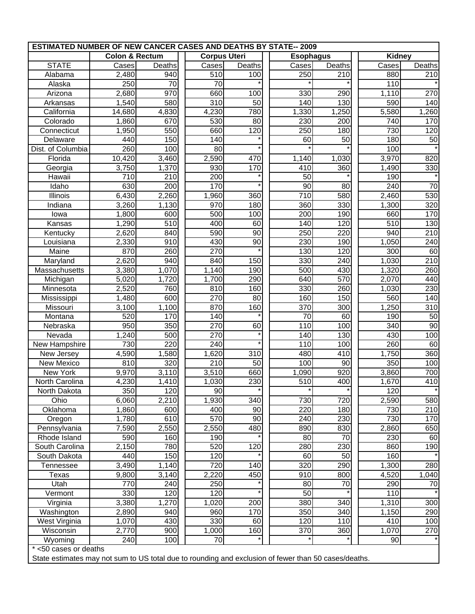| <b>ESTIMATED NUMBER OF NEW CANCER CASES AND DEATHS BY STATE-- 2009</b>                               |                           |                    |                     |                 |  |                        |                 |                  |                  |
|------------------------------------------------------------------------------------------------------|---------------------------|--------------------|---------------------|-----------------|--|------------------------|-----------------|------------------|------------------|
|                                                                                                      | <b>Colon &amp; Rectum</b> |                    | <b>Corpus Uteri</b> |                 |  | <b>Esophagus</b>       |                 | Kidney           |                  |
| <b>STATE</b>                                                                                         | Cases                     | Deaths             | Cases               | Deaths          |  | Cases                  | Deaths          | Cases            | Deaths           |
| Alabama                                                                                              | 2,480                     | 940                | 510                 | 100             |  | 250                    | 210             | 880              | 210              |
| Alaska                                                                                               | 250                       | $\overline{70}$    | 70                  |                 |  |                        |                 | 110              |                  |
| Arizona                                                                                              | 2,680                     | 970                | 660                 | 100             |  | 330                    | 290             | 1,110            | 270              |
| Arkansas                                                                                             | 1,540                     | 580                | $\overline{310}$    | $\overline{50}$ |  | 140                    | 130             | 590              | 140              |
| California                                                                                           | 14,680                    | 4,830              | 4,230               | 780             |  | 1,330                  | 1,250           | 5,580            | 1,260            |
| Colorado                                                                                             | 1,860                     | 670                | 530                 | 80              |  | 230                    | 200             | 740              | 170              |
| Connecticut                                                                                          | 1,950                     | 550                | 660                 | 120             |  | 250                    | 180             | 730              | 120              |
| Delaware                                                                                             | 440                       | 150                | 140                 |                 |  | 60                     | $\overline{50}$ | 180              | 50               |
| Dist. of Columbia                                                                                    | 260                       | 100                | 80                  |                 |  |                        |                 | 100              |                  |
| Florida                                                                                              | 10,420                    | 3,460              | 2,590               | 470             |  | 1,140                  | 1,030           | 3,970            | 820              |
| Georgia                                                                                              | 3,750                     | 1,370              | 930                 | 170             |  | 410                    | 360             | 1,490            | 330              |
| Hawaii                                                                                               | 710                       | 210                | 200                 |                 |  | $\overline{50}$        |                 | 190              |                  |
| Idaho                                                                                                | 630                       | $\overline{200}$   | 170                 |                 |  | $\overline{90}$        | $\overline{80}$ | 240              | $\overline{70}$  |
| Illinois                                                                                             | 6,430                     | 2,260              | 1,960               | 360             |  | 710                    | 580             | 2,460            | 530              |
| Indiana                                                                                              | 3,260                     | 1,130              | 970                 | 180             |  | 360                    | 330             | 1,300            | 320              |
| lowa                                                                                                 | 1,800                     | 600                | 500                 | 100             |  | 200                    | 190             | 660              | 170              |
| Kansas                                                                                               | 1,290                     | 510                | 400                 | 60              |  | 140                    | 120             | 510              | 130              |
| Kentucky                                                                                             | 2,620                     | 840                | 590                 | 90              |  | 250                    | 220             | 940              | $\overline{210}$ |
| Louisiana                                                                                            | 2,330                     | $\overline{910}$   | 430                 | 90              |  | 230                    | 190             | 1,050            | 240              |
| Maine                                                                                                | 870                       | 260                | 270                 |                 |  | 130                    | 120             | $\overline{300}$ | 60               |
| Maryland                                                                                             | 2,620                     | 940                | $\overline{840}$    | 150             |  | 330                    | 240             | 1,030            | $\overline{210}$ |
| Massachusetts                                                                                        | 3,380                     | 1,070              | 1,140               | 190             |  | 500                    | 430             | 1,320            | 260              |
| Michigan                                                                                             | 5,020                     | 1,720              | 1,700               | 290             |  | 640                    | 570             | 2,070            | 440              |
|                                                                                                      | 2,520                     | 760                | 810                 | 160             |  | 330                    | 260             | 1,030            | 230              |
| Minnesota                                                                                            | 1,480                     | 600                | 270                 | $\overline{80}$ |  | 160                    | 150             |                  | 140              |
| Mississippi                                                                                          |                           |                    |                     |                 |  |                        |                 | 560              |                  |
| Missouri                                                                                             | 3,100<br>520              | 1,100              | 870                 | 160             |  | 370<br>$\overline{70}$ | 300<br>60       | 1,250            | $\overline{310}$ |
| Montana<br>Nebraska                                                                                  | 950                       | 170<br>350         | 140<br>270          | 60              |  | 110                    | 100             | 190<br>340       | 50<br>90         |
| Nevada                                                                                               | 1,240                     | 500                | 270                 |                 |  | 140                    | 130             | 430              | 100              |
|                                                                                                      | 730                       | 220                | 240                 |                 |  | 110                    | 100             | 260              | 60               |
| New Hampshire                                                                                        | 4,590                     |                    |                     | 310             |  | 480                    | 410             |                  | 360              |
| New Jersey                                                                                           |                           | 1,580              | 1,620               |                 |  |                        | 90              | 1,750            |                  |
| <b>New Mexico</b>                                                                                    | 810                       | 320                | 210                 | $\overline{50}$ |  | 100                    |                 | 350              | 100              |
| <b>New York</b>                                                                                      | 9,970                     | 3,110              | 3,510               | 660             |  | 1,090                  | 920             | 3,860            | 700              |
| North Carolina                                                                                       | 4,230                     | 1,410              | 1,030               | 230             |  | 510                    | 400             | 1,670            | 410              |
| North Dakota                                                                                         | 350                       | 120                | 90                  |                 |  |                        |                 | 120              |                  |
| Ohio                                                                                                 | 6,060                     | 2,210              | 1,930               | 340             |  | 730                    | 720             | 2,590            | 580              |
| Oklahoma                                                                                             | 1,860                     | 600                | 400                 | $\overline{90}$ |  | 220                    | 180             | 730              | 210              |
| Oregon                                                                                               | 1,780                     | 610                | 570                 | 90              |  | 240                    | 230             | 730              | 170              |
| Pennsylvania                                                                                         | 7,590                     | $\overline{2,}550$ | 2,550               | 480             |  | 890                    | 830             | 2,860            | 650              |
| Rhode Island                                                                                         | 590                       | 160                | 190                 |                 |  | 80                     | 70              | 230              | 60               |
| South Carolina                                                                                       | 2,150                     | 780                | 520                 | 120             |  | 280                    | 230             | 860              | 190              |
| South Dakota                                                                                         | 440                       | 150                | 120                 |                 |  | 60                     | 50              | 160              |                  |
| Tennessee                                                                                            | 3,490                     | 1,140              | 720                 | 140             |  | 320                    | 290             | 1,300            | 280              |
| Texas                                                                                                | 9,800                     | 3,140              | 2,220               | 450             |  | 910                    | 800             | 4,520            | 1,040            |
| Utah                                                                                                 | 770                       | 240                | 250                 |                 |  | 80                     | 70              | 290              | 70               |
| Vermont                                                                                              | 330                       | 120                | 120                 |                 |  | 50                     |                 | 110              |                  |
| Virginia                                                                                             | 3,380                     | 1,270              | 1,020               | 200             |  | 380                    | 340             | 1,310            | 300              |
| Washington                                                                                           | 2,890                     | 940                | 960                 | 170             |  | 350                    | 340             | 1,150            | 290              |
| West Virginia                                                                                        | 1,070                     | 430                | 330                 | 60              |  | 120                    | 110             | 410              | 100              |
| Wisconsin                                                                                            | 2,770                     | 900                | 1,000               | 160             |  | 370                    | 360             | 1,070            | 270              |
| 240<br>100<br>70<br>Wyoming<br>90                                                                    |                           |                    |                     |                 |  |                        |                 |                  |                  |
| * <50 cases or deaths                                                                                |                           |                    |                     |                 |  |                        |                 |                  |                  |
| State estimates may not sum to US total due to rounding and exclusion of fewer than 50 cases/deaths. |                           |                    |                     |                 |  |                        |                 |                  |                  |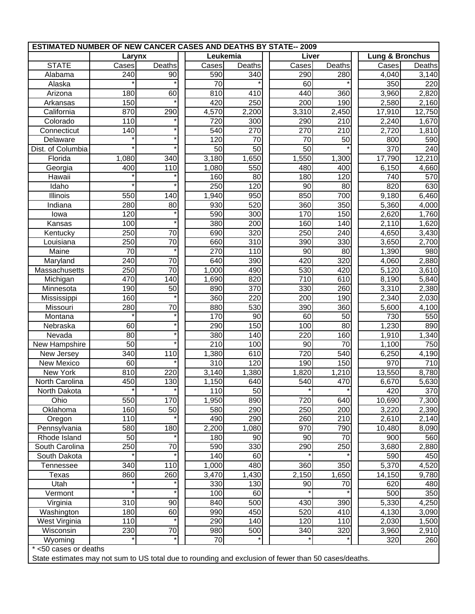| <b>ESTIMATED NUMBER OF NEW CANCER CASES AND DEATHS BY STATE-- 2009</b>                               |                  |                  |                  |                  |  |                  |                 |                            |        |
|------------------------------------------------------------------------------------------------------|------------------|------------------|------------------|------------------|--|------------------|-----------------|----------------------------|--------|
|                                                                                                      | Larynx           |                  | Leukemia         |                  |  | Liver            |                 | <b>Lung &amp; Bronchus</b> |        |
| <b>STATE</b>                                                                                         | Cases            | Deaths           | Cases            | Deaths           |  | Cases            | Deaths          | Cases                      | Deaths |
| Alabama                                                                                              | 240              | 90               | 590              | 340              |  | 290              | 280             | 4,040                      | 3,140  |
| Alaska                                                                                               |                  |                  | 70               |                  |  | 60               |                 | 350                        | 220    |
| Arizona                                                                                              | 180              | 60               | 810              | 410              |  | 440              | 360             | 3,960                      | 2,820  |
| Arkansas                                                                                             | 150              |                  | 420              | $\overline{250}$ |  | 200              | 190             | 2,580                      | 2,160  |
| California                                                                                           | 870              | 290              | 4,570            | 2,200            |  | 3,310            | 2,450           | 17,910                     | 12,750 |
| Colorado                                                                                             | 110              |                  | 720              | 300              |  | 290              | 210             | 2,240                      | 1,670  |
| Connecticut                                                                                          | 140              |                  | 540              | 270              |  | 270              | 210             | 2,720                      | 1,810  |
| Delaware                                                                                             |                  |                  | 120              | $\overline{70}$  |  | 70               | 50              | 800                        | 590    |
| Dist. of Columbia                                                                                    |                  |                  | 50               | 50               |  | $\overline{50}$  |                 | 370                        | 240    |
| Florida                                                                                              | 1,080            | 340              | 3,180            | 1,650            |  | 1,550            | 1,300           | 17,790                     | 12,210 |
| Georgia                                                                                              | 400              | $\overline{110}$ | 1,080            | 550              |  | 480              | 400             | 6,150                      | 4,660  |
| Hawaii                                                                                               |                  |                  | 160              | $\overline{80}$  |  | 180              | 120             | 740                        | 570    |
| Idaho                                                                                                |                  |                  | $\overline{250}$ | 120              |  | 90               | $\overline{80}$ | 820                        | 630    |
| Illinois                                                                                             | 550              | 140              | 1,940            | 950              |  | 850              | 700             | 9,180                      | 6,460  |
| Indiana                                                                                              | 280              | 80               | $\overline{930}$ | 520              |  | 360              | 350             | 5,360                      | 4,000  |
|                                                                                                      |                  |                  |                  |                  |  |                  |                 |                            |        |
| lowa                                                                                                 | 120              |                  | 590              | $\overline{300}$ |  | 170              | 150             | 2,620                      | 1,760  |
| Kansas                                                                                               | 100              |                  | 380              | 200              |  | 160              | 140             | 2,110                      | 1,620  |
| Kentucky                                                                                             | 250              | 70               | 690              | 320              |  | 250              | 240             | 4,650                      | 3,430  |
| Louisiana                                                                                            | 250              | 70               | 660              | $\overline{310}$ |  | 390              | 330             | 3,650                      | 2,700  |
| Maine                                                                                                | 70               |                  | 270              | 110              |  | 90               | 80              | 1,390                      | 980    |
| Maryland                                                                                             | 240              | 70               | 640              | 390              |  | 420              | 320             | 4,060                      | 2,880  |
| Massachusetts                                                                                        | 250              | $\overline{70}$  | 1,000            | 490              |  | 530              | 420             | 5,120                      | 3,610  |
| Michigan                                                                                             | 470              | 140              | 1,690            | 820              |  | 710              | 610             | 8,190                      | 5,840  |
| Minnesota                                                                                            | 190              | $\overline{50}$  | 890              | 370              |  | 330              | 260             | 3,310                      | 2,380  |
| Mississippi                                                                                          | 160              |                  | 360              | 220              |  | 200              | 190             | 2,340                      | 2,030  |
| Missouri                                                                                             | 280              | $\overline{70}$  | 880              | 530              |  | 390              | 360             | 5,600                      | 4,100  |
| Montana                                                                                              |                  |                  | 170              | 90               |  | 60               | 50              | 730                        | 550    |
| Nebraska                                                                                             | 60               |                  | 290              | 150              |  | 100              | $\overline{80}$ | 1,230                      | 890    |
| Nevada                                                                                               | $\overline{80}$  |                  | 380              | 140              |  | 220              | 160             | 1,910                      | 1,340  |
| New Hampshire                                                                                        | $\overline{50}$  |                  | $\overline{210}$ | 100              |  | 90               | 70              | 1,100                      | 750    |
| New Jersey                                                                                           | 340              | 110              | 1,380            | 610              |  | 720              | 540             | 6,250                      | 4,190  |
| New Mexico                                                                                           | 60               |                  | 310              | 120              |  | 190              | 150             | 970                        | 710    |
| <b>New York</b>                                                                                      | $\overline{810}$ | $\overline{220}$ | 3,140            | 1,380            |  | 1,820            | 1,210           | 13,550                     | 8,780  |
| North Carolina                                                                                       | 450              | 130              | 1,150            | 640              |  | 540              | 470             | 6,670                      | 5,630  |
| North Dakota                                                                                         |                  |                  | 110              | 50               |  |                  |                 | 420                        | 370    |
| Ohio                                                                                                 | 550              | 170              | 1,950            | 890              |  | $\overline{720}$ | 640             | 10,690                     | 7,300  |
| Oklahoma                                                                                             | 160              | 50               | 580              | 290              |  | 250              | 200             | 3,220                      | 2,390  |
| Oregon                                                                                               | 110              |                  | 490              | 290              |  | 260              | 210             | 2,610                      | 2,140  |
| Pennsylvania                                                                                         | 580              | 180              | 2,200            | 1,080            |  | 970              | 790             | 10,480                     | 8,090  |
| Rhode Island                                                                                         | 50               |                  | 180              | 90               |  | 90               | 70              | 900                        | 560    |
| South Carolina                                                                                       | 250              | 70               | 590              | 330              |  | 290              | 250             | 3,680                      | 2,880  |
| South Dakota                                                                                         |                  |                  | 140              | 60               |  |                  |                 | 590                        | 450    |
| Tennessee                                                                                            | 340              | 110              | 1,000            | 480              |  | 360              | 350             | 5,370                      | 4,520  |
| <b>Texas</b>                                                                                         | 860              | 260              | 3,470            | 1,430            |  | 2,150            | 1,650           | 14,150                     | 9,780  |
| Utah                                                                                                 |                  |                  | 330              | 130              |  | 90               | 70              | 620                        | 480    |
| Vermont                                                                                              |                  |                  | 100              | 60               |  |                  |                 | 500                        | 350    |
| Virginia                                                                                             | 310              | 90               | 840              | 500              |  | 430              | 390             | 5,330                      | 4,250  |
| Washington                                                                                           | $\overline{180}$ | $\overline{60}$  | 990              | 450              |  | 520              | 410             | 4,130                      | 3,090  |
| West Virginia                                                                                        | 110              |                  | 290              | 140              |  | 120              | 110             | 2,030                      | 1,500  |
| Wisconsin                                                                                            | $\overline{230}$ | 70               | 980              | 500              |  | 340              | 320             | 3,960                      | 2,910  |
| Wyoming                                                                                              |                  |                  | 70               |                  |  |                  |                 | 320                        | 260    |
| * <50 cases or deaths                                                                                |                  |                  |                  |                  |  |                  |                 |                            |        |
|                                                                                                      |                  |                  |                  |                  |  |                  |                 |                            |        |
| State estimates may not sum to US total due to rounding and exclusion of fewer than 50 cases/deaths. |                  |                  |                  |                  |  |                  |                 |                            |        |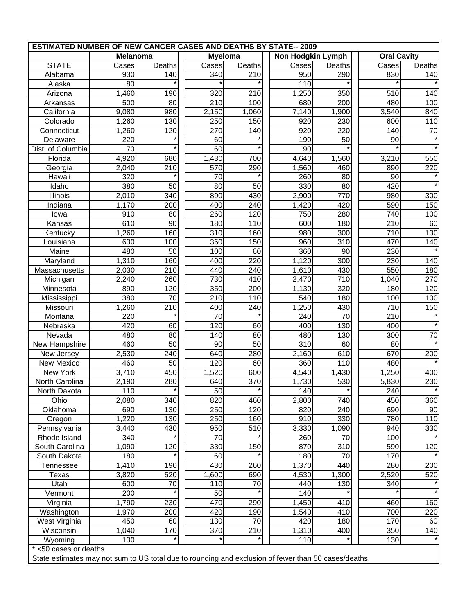| <b>ESTIMATED NUMBER OF NEW CANCER CASES AND DEATHS BY STATE-- 2009</b> |          |                  |                |                                                                                                      |  |                   |                  |                    |                 |  |  |
|------------------------------------------------------------------------|----------|------------------|----------------|------------------------------------------------------------------------------------------------------|--|-------------------|------------------|--------------------|-----------------|--|--|
|                                                                        | Melanoma |                  | <b>Myeloma</b> |                                                                                                      |  | Non Hodgkin Lymph |                  | <b>Oral Cavity</b> |                 |  |  |
| <b>STATE</b>                                                           | Cases    | Deaths           | Cases          | Deaths                                                                                               |  | Cases             | Deaths           | Cases              | Deaths          |  |  |
| Alabama                                                                | 930      | 140              | 340            | 210                                                                                                  |  | 950               | 290              | 830                | 140             |  |  |
| Alaska                                                                 | 80       |                  |                |                                                                                                      |  | 110               |                  |                    |                 |  |  |
| Arizona                                                                | 1,460    | 190              | 320            | 210                                                                                                  |  | 1,250             | 350              | 510                | 140             |  |  |
| Arkansas                                                               | 500      | 80               | 210            | 100                                                                                                  |  | 680               | 200              | 480                | 100             |  |  |
| California                                                             | 9,080    | 980              | 2,150          | 1,060                                                                                                |  | 7,140             | 1,900            | 3,540              | 840             |  |  |
| Colorado                                                               | 1,260    | 130              | 250            | 150                                                                                                  |  | 920               | 230              | 600                | 110             |  |  |
| Connecticut                                                            | 1,260    | 120              | 270            | 140                                                                                                  |  | 920               | 220              | 140                | 70              |  |  |
| Delaware                                                               | 220      |                  | 60             |                                                                                                      |  | 190               | 50               | 90                 |                 |  |  |
| Dist. of Columbia                                                      | 70       |                  | 60             |                                                                                                      |  | 90                |                  |                    |                 |  |  |
| Florida                                                                | 4,920    | 680              | 1,430          | 700                                                                                                  |  | 4,640             | 1,560            | 3,210              | 550             |  |  |
| Georgia                                                                | 2,040    | 210              | 570            | 290                                                                                                  |  | 1,560             | 460              | 890                | 220             |  |  |
| Hawaii                                                                 | 320      |                  | 70             |                                                                                                      |  | 260               | 80               | 90                 |                 |  |  |
| Idaho                                                                  | 380      | 50               | 80             | $\overline{50}$                                                                                      |  | 330               | $\overline{80}$  | 420                |                 |  |  |
| Illinois                                                               | 2,010    | 340              | 890            | 430                                                                                                  |  | 2,900             | 770              | 980                | 300             |  |  |
| Indiana                                                                | 1,170    | 200              | 400            | 240                                                                                                  |  | 1,420             | 420              | 590                | 150             |  |  |
| lowa                                                                   | 910      | 80               | 260            | 120                                                                                                  |  | 750               | 280              | 740                | 100             |  |  |
| Kansas                                                                 | 610      | 90               | 180            | 110                                                                                                  |  | 600               | 180              | 210                | 60              |  |  |
| Kentucky                                                               | 1,260    | 160              | 310            | 160                                                                                                  |  | 980               | 300              | 710                | 130             |  |  |
| Louisiana                                                              | 630      | 100              | 360            | 150                                                                                                  |  | 960               | 310              | 470                | 140             |  |  |
| Maine                                                                  | 480      | 50               | 100            | 60                                                                                                   |  | 360               | $\overline{90}$  | 230                |                 |  |  |
| Maryland                                                               | 1,310    | 160              | 400            | 220                                                                                                  |  | 1,120             | 300              | 230                | 140             |  |  |
| Massachusetts                                                          | 2,030    | $\overline{210}$ | 440            | 240                                                                                                  |  | 1,610             | 430              | 550                | 180             |  |  |
| Michigan                                                               | 2,240    | 260              | 730            | 410                                                                                                  |  | 2,470             | 710              | 1,040              | 270             |  |  |
| Minnesota                                                              | 890      | 120              | 350            | 200                                                                                                  |  | 1,130             | 320              | 180                | 120             |  |  |
| Mississippi                                                            | 380      | 70               | 210            | 110                                                                                                  |  | 540               | 180              | 100                | 100             |  |  |
| Missouri                                                               | 1,260    | 210              | 400            | 240                                                                                                  |  | 1,250             | 430              | 710                | 150             |  |  |
| Montana                                                                | 220      |                  | 70             |                                                                                                      |  | 240               | $\overline{70}$  | 210                |                 |  |  |
| Nebraska                                                               | 420      | 60               | 120            | 60                                                                                                   |  | 400               | 130              | 400                |                 |  |  |
| Nevada                                                                 | 480      | 80               | 140            | $\overline{80}$                                                                                      |  | 480               | 130              | 300                | $\overline{70}$ |  |  |
| New Hampshire                                                          | 460      | 50               | 90             | $\overline{50}$                                                                                      |  | 310               | 60               | 80                 |                 |  |  |
| New Jersey                                                             | 2,530    | 240              | 640            | 280                                                                                                  |  | 2,160             | 610              | 670                | 200             |  |  |
| <b>New Mexico</b>                                                      | 460      | 50               | 120            | 60                                                                                                   |  | 360               | 110              | 480                |                 |  |  |
| New York                                                               | 3,710    | 450              | 1,520          | 600                                                                                                  |  | 4,540             | 1,430            | 1,250              | 400             |  |  |
| North Carolina                                                         | 2,190    | 280              | 640            | 370                                                                                                  |  | 1,730             | 530              | 5,830              | 230             |  |  |
| North Dakota                                                           | 110      |                  | 50             |                                                                                                      |  | 140               |                  | 240                |                 |  |  |
| Ohio                                                                   | 2,080    | 340              | 820            | 460                                                                                                  |  | 2,800             | 740              | 450                | 360             |  |  |
| Oklahoma                                                               | 690      | 130              | 250            | 120                                                                                                  |  | 820               | 240              | 690                | 90              |  |  |
| Oregon                                                                 | 1,220    | 130              | 250            | 160                                                                                                  |  | 910               | 330              | 780                | 110             |  |  |
| Pennsylvania                                                           | 3,440    | 430              | 950            | 510                                                                                                  |  | 3,330             | 1,090            | 940                | 330             |  |  |
| Rhode Island                                                           | 340      |                  | 70             |                                                                                                      |  | 260               | 70               | 100                |                 |  |  |
| South Carolina                                                         | 1,090    | 120              | 330            | 150                                                                                                  |  | 870               | $\overline{310}$ | 590                | 120             |  |  |
| South Dakota                                                           | 180      |                  | 60             |                                                                                                      |  | 180               | 70               | 170                |                 |  |  |
| Tennessee                                                              | 1,410    | 190              | 430            | 260                                                                                                  |  | 1,370             | 440              | 280                | 200             |  |  |
| Texas                                                                  | 3,820    | 520              | 1,600          | 690                                                                                                  |  | 4,530             | 1,300            | 2,520              | 520             |  |  |
| Utah                                                                   | 600      | 70               | 110            | 70                                                                                                   |  | 440               | 130              | 340                |                 |  |  |
| Vermont                                                                | 200      |                  | 50             |                                                                                                      |  | 140               |                  |                    |                 |  |  |
| Virginia                                                               | 1,790    | 230              | 470            | 290                                                                                                  |  | 1,450             | 410              | 460                | 160             |  |  |
| Washington                                                             | 1,970    | 200              | 420            | 190                                                                                                  |  | 1,540             | 410              | 700                | 220             |  |  |
| West Virginia                                                          | 450      | 60               | 130            | 70                                                                                                   |  | 420               | 180              | 170                | 60              |  |  |
| Wisconsin                                                              | 1,040    | 170              | 370            | 210                                                                                                  |  | 1,310             | 400              | 350                | 140             |  |  |
| Wyoming                                                                | 130      |                  |                |                                                                                                      |  | 110               |                  | 130                |                 |  |  |
| * <50 cases or deaths                                                  |          |                  |                |                                                                                                      |  |                   |                  |                    |                 |  |  |
|                                                                        |          |                  |                |                                                                                                      |  |                   |                  |                    |                 |  |  |
|                                                                        |          |                  |                | State estimates may not sum to US total due to rounding and exclusion of fewer than 50 cases/deaths. |  |                   |                  |                    |                 |  |  |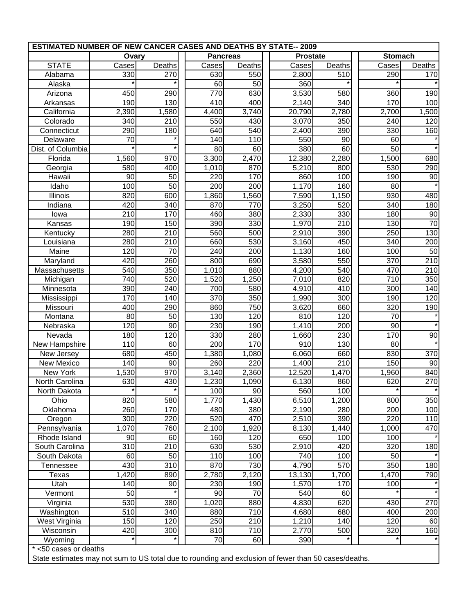| <b>ESTIMATED NUMBER OF NEW CANCER CASES AND DEATHS BY STATE-- 2009</b>                               |       |                  |                 |                    |  |                  |        |                |         |  |
|------------------------------------------------------------------------------------------------------|-------|------------------|-----------------|--------------------|--|------------------|--------|----------------|---------|--|
|                                                                                                      | Ovary |                  | <b>Pancreas</b> |                    |  | <b>Prostate</b>  |        | <b>Stomach</b> |         |  |
| <b>STATE</b>                                                                                         | Cases | Deaths           | Cases           | Deaths             |  | Cases            | Deaths | Cases          | Deaths  |  |
| Alabama                                                                                              | 330   | 270              | 630             | 550                |  | 2,800            | 510    | 290            | 170     |  |
| Alaska                                                                                               |       |                  | 60              | 50                 |  | 360              |        |                |         |  |
| Arizona                                                                                              | 450   | 290              | 770             | 630                |  | 3,530            | 580    | 360            | 190     |  |
| Arkansas                                                                                             | 190   | 130              | 410             | 400                |  | 2,140            | 340    | 170            | 100     |  |
| California                                                                                           | 2,390 | 1,580            | 4,400           | $\overline{3,740}$ |  | 20,790           | 2,780  | 2,700          | 1,500   |  |
| Colorado                                                                                             | 340   | 210              | 550             | 430                |  | 3,070            | 350    | 240            | 120     |  |
| Connecticut                                                                                          | 290   | 180              | 640             | 540                |  | 2,400            | 390    | 330            | 160     |  |
| Delaware                                                                                             | 70    |                  | 140             | 110                |  | 550              | 90     | 60             |         |  |
| Dist. of Columbia                                                                                    |       |                  | 80              | 60                 |  | 380              | 60     | 50             |         |  |
| Florida                                                                                              | 1,560 | 970              | 3,300           | 2,470              |  | 12,380           | 2,280  | 1,500          | 680     |  |
| Georgia                                                                                              | 580   | 400              | 1,010           | 870                |  | 5,210            | 800    | 530            | 290     |  |
| Hawaii                                                                                               | 90    | 50               | 220             | 170                |  | 860              | 100    | 190            | 90      |  |
| Idaho                                                                                                | 100   | 50               | 200             | 200                |  | 1,170            | 160    | 80             |         |  |
| Illinois                                                                                             | 820   | 600              | 1,860           | 1,560              |  | 7,590            | 1,150  | 930            | 480     |  |
| Indiana                                                                                              | 420   | 340              | 870             | 770                |  | 3,250            | 520    | 340            | 180     |  |
| <b>Towa</b>                                                                                          | 210   | 170              | 460             | 380                |  | 2,330            | 330    | 180            | 90      |  |
| Kansas                                                                                               | 190   | 150              | 390             | 330                |  | 1,970            | 210    | 130            | 70      |  |
| Kentucky                                                                                             | 280   | 210              | 560             | 500                |  | 2,910            | 390    | 250            | 130     |  |
| Louisiana                                                                                            | 280   | $\overline{210}$ | 660             | 530                |  | 3,160            | 450    | 340            | 200     |  |
| Maine                                                                                                | 120   | $\overline{70}$  | 240             | 200                |  | 1,130            | 160    | 100            | 50      |  |
| Maryland                                                                                             | 420   | 260              | 800             | 690                |  | 3,580            | 550    | 370            | 210     |  |
| Massachusetts                                                                                        | 540   | 350              | 1,010           | 880                |  | 4,200            | 540    | 470            | 210     |  |
| Michigan                                                                                             | 740   | 520              | 1,520           | 1,250              |  | 7,010            | 820    | 710            | 350     |  |
| Minnesota                                                                                            | 390   | 240              | 700             | 580                |  | 4,910            | 410    | 300            | 140     |  |
| Mississippi                                                                                          | 170   | 140              | 370             | 350                |  | 1,990            | 300    | 190            | 120     |  |
| Missouri                                                                                             | 400   | 290              | 860             | 750                |  | 3,620            | 660    | 320            | 190     |  |
| Montana                                                                                              | 80    | 50               | 130             | 120                |  | 810              | 120    | 70             |         |  |
| Nebraska                                                                                             | 120   | 90               | 230             | 190                |  | 1,410            | 200    | 90             |         |  |
| Nevada                                                                                               | 180   | 120              | 330             | 280                |  | 1,660            | 230    | 170            | 90      |  |
| New Hampshire                                                                                        | 110   | 60               | 200             | 170                |  | $\overline{910}$ | 130    | 80             |         |  |
| New Jersey                                                                                           | 680   | 450              | 1,380           | 1,080              |  | 6,060            | 660    | 830            | 370     |  |
| New Mexico                                                                                           | 140   | 90               | 260             | 220                |  | 1,400            | 210    | 150            | 90      |  |
| <b>New York</b>                                                                                      | 1,530 | 970              | 3,140           | 2,360              |  | 12,520           | 1,470  | 1,960          | 840     |  |
| North Carolina                                                                                       | 630   | 430              | 1,230           | 1,090              |  | 6,130            | 860    | 620            | 270     |  |
| North Dakota                                                                                         |       |                  | 100             | $90\,$             |  | 560              | 100    |                |         |  |
| Ohio                                                                                                 | 820   | 580              | 1,770           | 1,430              |  | 6,510            | 1,200  | 800            | 350     |  |
| Oklahoma                                                                                             | 260   | 170              | 480             | 380                |  | 2,190            | 280    | 200            | 100     |  |
| Oregon                                                                                               | 300   | $\overline{220}$ | 520             | 470                |  | 2,510            | 390    | 220            | 110     |  |
| Pennsylvania                                                                                         | 1,070 | 760              | 2,100           | 1,920              |  | 8,130            | 1,440  | 1,000          | 470     |  |
| Rhode Island                                                                                         | 90    | 60               | 160             | 120                |  | 650              | 100    | 100            |         |  |
| South Carolina                                                                                       | 310   | $\overline{210}$ | 630             | 530                |  | 2,910            | 420    | 320            | 180     |  |
| South Dakota                                                                                         | 60    | 50               | 110             | 100                |  | 740              | 100    | 50             |         |  |
| Tennessee                                                                                            | 430   | $\overline{310}$ | 870             | 730                |  | 4,790            | 570    | 350            | 180     |  |
| Texas                                                                                                | 1,420 | 890              | 2,780           | $\overline{2,}120$ |  | 13,130           | 1,700  | 1,470          | 790     |  |
| Utah                                                                                                 | 140   | 90               | 230             | 190                |  | 1,570            | 170    | 100            |         |  |
| Vermont                                                                                              | 50    |                  | 90              | 70                 |  | 540              | 60     |                | $\star$ |  |
| Virginia                                                                                             | 530   | 380              | 1,020           | 880                |  | 4,830            | 620    | 430            | 270     |  |
| Washington                                                                                           | 510   | 340              | 880             | 710                |  | 4,680            | 680    | 400            | 200     |  |
| West Virginia                                                                                        | 150   | 120              | 250             | 210                |  | 1,210            | 140    | 120            | 60      |  |
| Wisconsin                                                                                            | 420   | $\overline{3}00$ | 810             | 710                |  | 2,770            | 500    | 320            | 160     |  |
| Wyoming                                                                                              |       |                  | $\overline{70}$ | 60                 |  | 390              |        |                |         |  |
| * <50 cases or deaths                                                                                |       |                  |                 |                    |  |                  |        |                |         |  |
| State estimates may not sum to US total due to rounding and exclusion of fewer than 50 cases/deaths. |       |                  |                 |                    |  |                  |        |                |         |  |